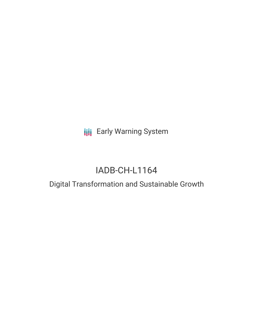**III** Early Warning System

# IADB-CH-L1164

## Digital Transformation and Sustainable Growth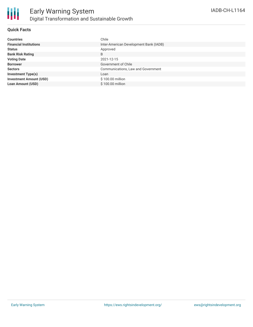

#### **Quick Facts**

| <b>Countries</b>               | Chile                                  |
|--------------------------------|----------------------------------------|
| <b>Financial Institutions</b>  | Inter-American Development Bank (IADB) |
| <b>Status</b>                  | Approved                               |
| <b>Bank Risk Rating</b>        | B                                      |
| <b>Voting Date</b>             | 2021-12-15                             |
| <b>Borrower</b>                | Government of Chile                    |
| <b>Sectors</b>                 | Communications, Law and Government     |
| <b>Investment Type(s)</b>      | Loan                                   |
| <b>Investment Amount (USD)</b> | \$100.00 million                       |
| <b>Loan Amount (USD)</b>       | \$100.00 million                       |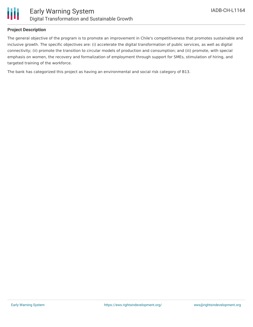

#### **Project Description**

The general objective of the program is to promote an improvement in Chile's competitiveness that promotes sustainable and inclusive growth. The specific objectives are: (i) accelerate the digital transformation of public services, as well as digital connectivity; (ii) promote the transition to circular models of production and consumption; and (iii) promote, with special emphasis on women, the recovery and formalization of employment through support for SMEs, stimulation of hiring, and targeted training of the workforce.

The bank has categorized this project as having an environmental and social risk category of B13.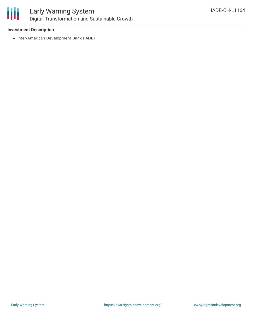

## Early Warning System Digital Transformation and Sustainable Growth

#### **Investment Description**

• Inter-American Development Bank (IADB)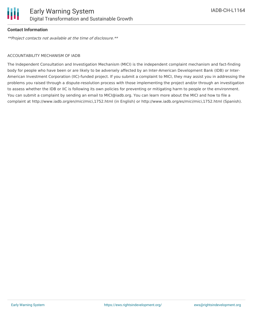

#### **Contact Information**

\*\*Project contacts not available at the time of disclosure.\*\*

#### ACCOUNTABILITY MECHANISM OF IADB

The Independent Consultation and Investigation Mechanism (MICI) is the independent complaint mechanism and fact-finding body for people who have been or are likely to be adversely affected by an Inter-American Development Bank (IDB) or Inter-American Investment Corporation (IIC)-funded project. If you submit a complaint to MICI, they may assist you in addressing the problems you raised through a dispute-resolution process with those implementing the project and/or through an investigation to assess whether the IDB or IIC is following its own policies for preventing or mitigating harm to people or the environment. You can submit a complaint by sending an email to MICI@iadb.org. You can learn more about the MICI and how to file a complaint at http://www.iadb.org/en/mici/mici,1752.html (in English) or http://www.iadb.org/es/mici/mici,1752.html (Spanish).